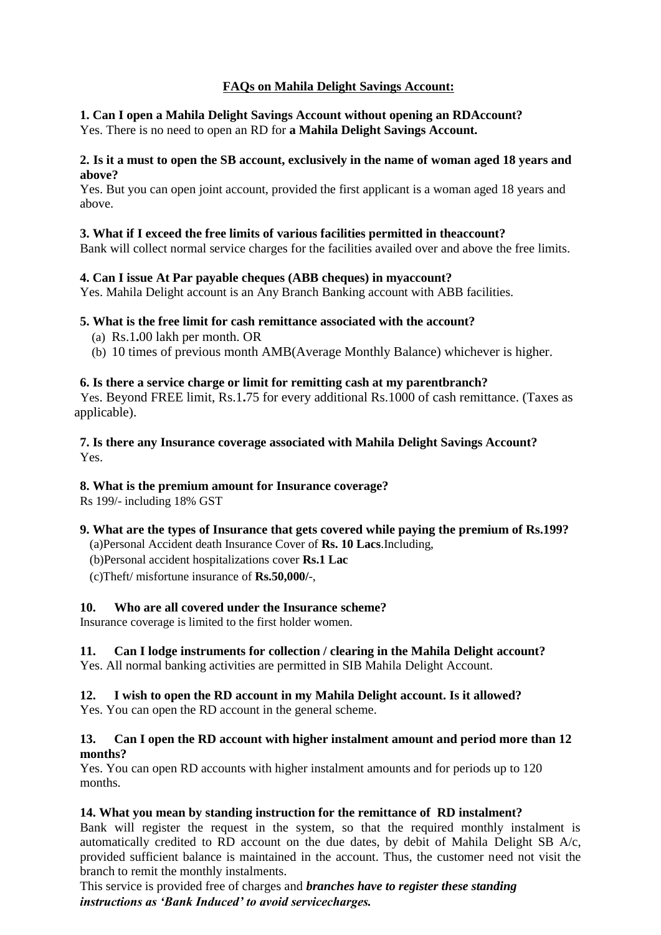# **FAQs on Mahila Delight Savings Account:**

### **1. Can I open a Mahila Delight Savings Account without opening an RDAccount?** Yes. There is no need to open an RD for **a Mahila Delight Savings Account.**

### **2. Is it a must to open the SB account, exclusively in the name of woman aged 18 years and above?**

Yes. But you can open joint account, provided the first applicant is a woman aged 18 years and above.

# **3. What if I exceed the free limits of various facilities permitted in theaccount?**

Bank will collect normal service charges for the facilities availed over and above the free limits.

# **4. Can I issue At Par payable cheques (ABB cheques) in myaccount?**

Yes. Mahila Delight account is an Any Branch Banking account with ABB facilities.

### **5. What is the free limit for cash remittance associated with the account?**

- (a) Rs.1**.**00 lakh per month. OR
- (b) 10 times of previous month AMB(Average Monthly Balance) whichever is higher.

### **6. Is there a service charge or limit for remitting cash at my parentbranch?**

 Yes. Beyond FREE limit, Rs.1**.**75 for every additional Rs.1000 of cash remittance. (Taxes as applicable).

### **7. Is there any Insurance coverage associated with Mahila Delight Savings Account?** Yes.

### **8. What is the premium amount for Insurance coverage?**

Rs 199/- including 18% GST

# **9. What are the types of Insurance that gets covered while paying the premium of Rs.199?**

- (a)Personal Accident death Insurance Cover of **Rs. 10 Lacs**.Including,
- (b)Personal accident hospitalizations cover **Rs.1 Lac**
- (c)Theft/ misfortune insurance of **Rs.50,000/**-,

# **10. Who are all covered under the Insurance scheme?**

Insurance coverage is limited to the first holder women.

# **11. Can I lodge instruments for collection / clearing in the Mahila Delight account?**

Yes. All normal banking activities are permitted in SIB Mahila Delight Account.

# **12. I wish to open the RD account in my Mahila Delight account. Is it allowed?**

Yes. You can open the RD account in the general scheme.

#### **13. Can I open the RD account with higher instalment amount and period more than 12 months?**

Yes. You can open RD accounts with higher instalment amounts and for periods up to 120 months.

# **14. What you mean by standing instruction for the remittance of RD instalment?**

Bank will register the request in the system, so that the required monthly instalment is automatically credited to RD account on the due dates, by debit of Mahila Delight SB A/c, provided sufficient balance is maintained in the account. Thus, the customer need not visit the branch to remit the monthly instalments.

This service is provided free of charges and *branches have to register these standing instructions as 'Bank Induced' to avoid servicecharges.*